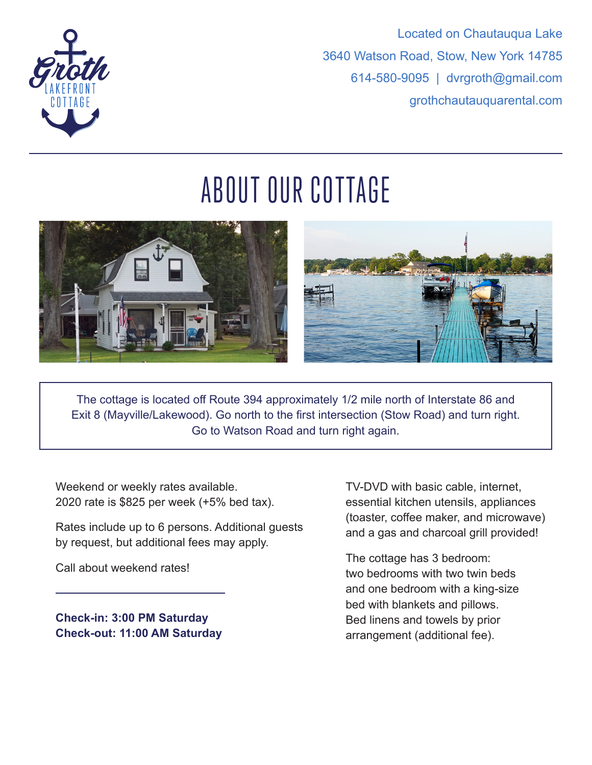



# ABOUT OUR COTTAGE



The cottage is located off Route 394 approximately 1/2 mile north of Interstate 86 and Exit 8 (Mayville/Lakewood). Go north to the first intersection (Stow Road) and turn right. Go to Watson Road and turn right again.

Weekend or weekly rates available. 2020 rate is \$825 per week (+5% bed tax).

Rates include up to 6 persons. Additional guests by request, but additional fees may apply.

Call about weekend rates!

**Check-in: 3:00 PM Saturday Check-out: 11:00 AM Saturday**  TV-DVD with basic cable, internet, essential kitchen utensils, appliances (toaster, coffee maker, and microwave) and a gas and charcoal grill provided!

The cottage has 3 bedroom: two bedrooms with two twin beds and one bedroom with a king-size bed with blankets and pillows. Bed linens and towels by prior arrangement (additional fee).